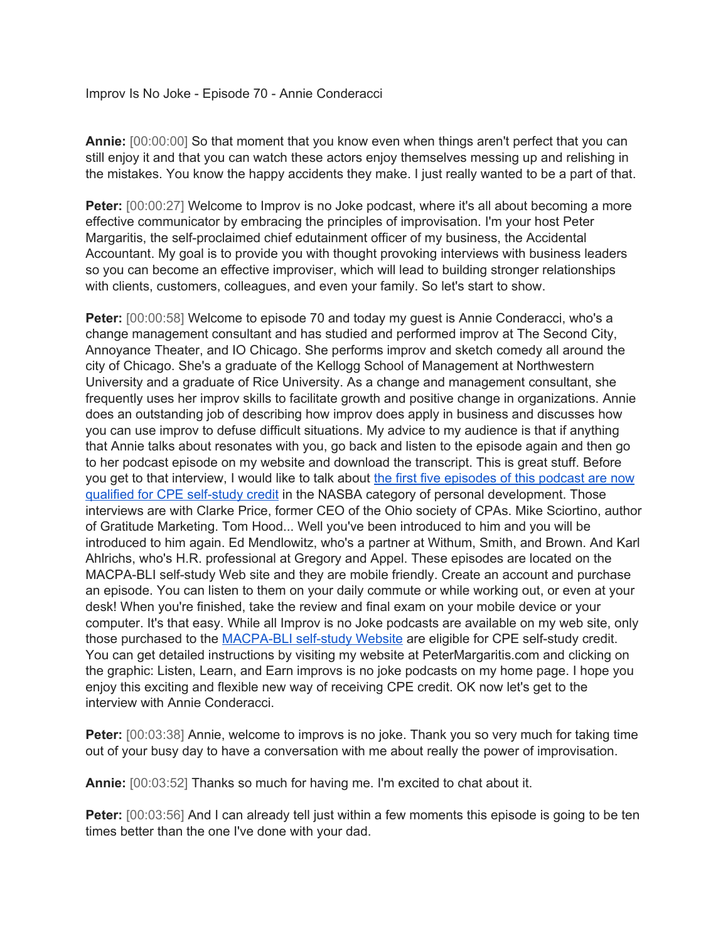Improv Is No Joke - Episode 70 - Annie Conderacci

**Annie:** [00:00:00] So that moment that you know even when things aren't perfect that you can still enjoy it and that you can watch these actors enjoy themselves messing up and relishing in the mistakes. You know the happy accidents they make. I just really wanted to be a part of that.

**Peter:** [00:00:27] Welcome to Improv is no Joke podcast, where it's all about becoming a more effective communicator by embracing the principles of improvisation. I'm your host Peter Margaritis, the self-proclaimed chief edutainment officer of my business, the Accidental Accountant. My goal is to provide you with thought provoking interviews with business leaders so you can become an effective improviser, which will lead to building stronger relationships with clients, customers, colleagues, and even your family. So let's start to show.

Peter: [00:00:58] Welcome to episode 70 and today my guest is Annie Conderacci, who's a change management consultant and has studied and performed improv at The Second City, Annoyance Theater, and IO Chicago. She performs improv and sketch comedy all around the city of Chicago. She's a graduate of the Kellogg School of Management at Northwestern University and a graduate of Rice University. As a change and management consultant, she frequently uses her improv skills to facilitate growth and positive change in organizations. Annie does an outstanding job of describing how improv does apply in business and discusses how you can use improv to defuse difficult situations. My advice to my audience is that if anything that Annie talks about resonates with you, go back and listen to the episode again and then go to her podcast episode on my website and download the transcript. This is great stuff. Before you get to that interview, I would like to talk about the first five [episodes](https://blionline.inquisiqr4.com/catalog/default.asp?id=25823) of this podcast are now qualified for CPE [self-study](https://blionline.inquisiqr4.com/catalog/default.asp?id=25823) credit in the NASBA category of personal development. Those interviews are with Clarke Price, former CEO of the Ohio society of CPAs. Mike Sciortino, author of Gratitude Marketing. Tom Hood... Well you've been introduced to him and you will be introduced to him again. Ed Mendlowitz, who's a partner at Withum, Smith, and Brown. And Karl Ahlrichs, who's H.R. professional at Gregory and Appel. These episodes are located on the MACPA-BLI self-study Web site and they are mobile friendly. Create an account and purchase an episode. You can listen to them on your daily commute or while working out, or even at your desk! When you're finished, take the review and final exam on your mobile device or your computer. It's that easy. While all Improv is no Joke podcasts are available on my web site, only those purchased to the [MACPA-BLI](https://blionline.inquisiqr4.com/catalog/default.asp?id=25823) self-study Website are eligible for CPE self-study credit. You can get detailed instructions by visiting my website at PeterMargaritis.com and clicking on the graphic: Listen, Learn, and Earn improvs is no joke podcasts on my home page. I hope you enjoy this exciting and flexible new way of receiving CPE credit. OK now let's get to the interview with Annie Conderacci.

**Peter:** [00:03:38] Annie, welcome to improvs is no joke. Thank you so very much for taking time out of your busy day to have a conversation with me about really the power of improvisation.

**Annie:** [00:03:52] Thanks so much for having me. I'm excited to chat about it.

**Peter:** [00:03:56] And I can already tell just within a few moments this episode is going to be ten times better than the one I've done with your dad.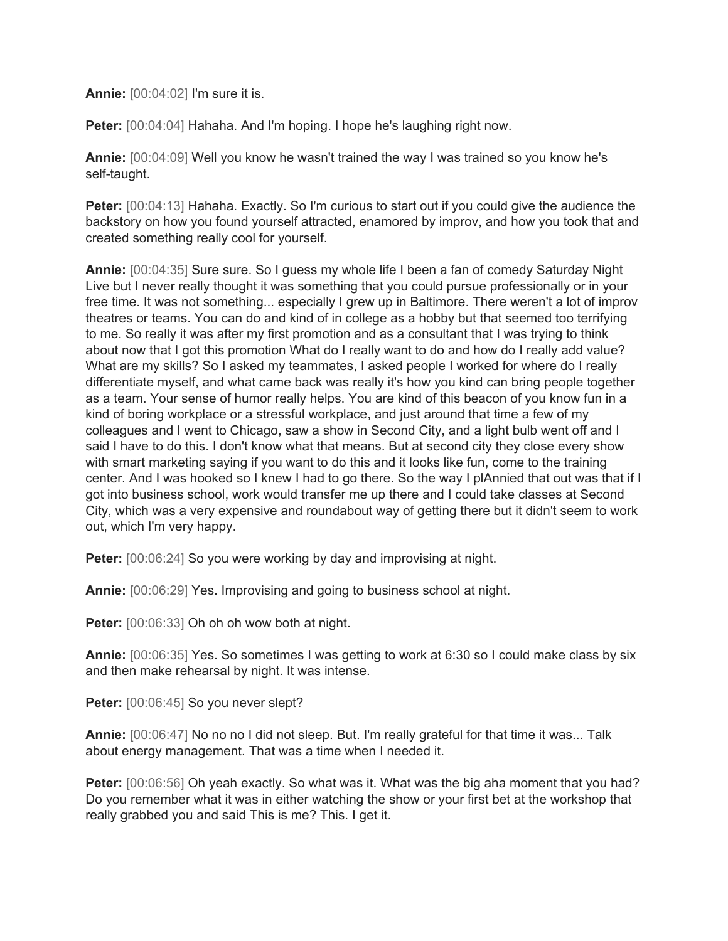**Annie:** [00:04:02] I'm sure it is.

**Peter:** [00:04:04] Hahaha. And I'm hoping. I hope he's laughing right now.

**Annie:** [00:04:09] Well you know he wasn't trained the way I was trained so you know he's self-taught.

**Peter:** [00:04:13] Hahaha. Exactly. So I'm curious to start out if you could give the audience the backstory on how you found yourself attracted, enamored by improv, and how you took that and created something really cool for yourself.

**Annie:** [00:04:35] Sure sure. So I guess my whole life I been a fan of comedy Saturday Night Live but I never really thought it was something that you could pursue professionally or in your free time. It was not something... especially I grew up in Baltimore. There weren't a lot of improv theatres or teams. You can do and kind of in college as a hobby but that seemed too terrifying to me. So really it was after my first promotion and as a consultant that I was trying to think about now that I got this promotion What do I really want to do and how do I really add value? What are my skills? So I asked my teammates, I asked people I worked for where do I really differentiate myself, and what came back was really it's how you kind can bring people together as a team. Your sense of humor really helps. You are kind of this beacon of you know fun in a kind of boring workplace or a stressful workplace, and just around that time a few of my colleagues and I went to Chicago, saw a show in Second City, and a light bulb went off and I said I have to do this. I don't know what that means. But at second city they close every show with smart marketing saying if you want to do this and it looks like fun, come to the training center. And I was hooked so I knew I had to go there. So the way I plAnnied that out was that if I got into business school, work would transfer me up there and I could take classes at Second City, which was a very expensive and roundabout way of getting there but it didn't seem to work out, which I'm very happy.

**Peter:** [00:06:24] So you were working by day and improvising at night.

**Annie:** [00:06:29] Yes. Improvising and going to business school at night.

**Peter:** [00:06:33] Oh oh oh wow both at night.

**Annie:** [00:06:35] Yes. So sometimes I was getting to work at 6:30 so I could make class by six and then make rehearsal by night. It was intense.

Peter: [00:06:45] So you never slept?

**Annie:** [00:06:47] No no no I did not sleep. But. I'm really grateful for that time it was... Talk about energy management. That was a time when I needed it.

**Peter:** [00:06:56] Oh yeah exactly. So what was it. What was the big aha moment that you had? Do you remember what it was in either watching the show or your first bet at the workshop that really grabbed you and said This is me? This. I get it.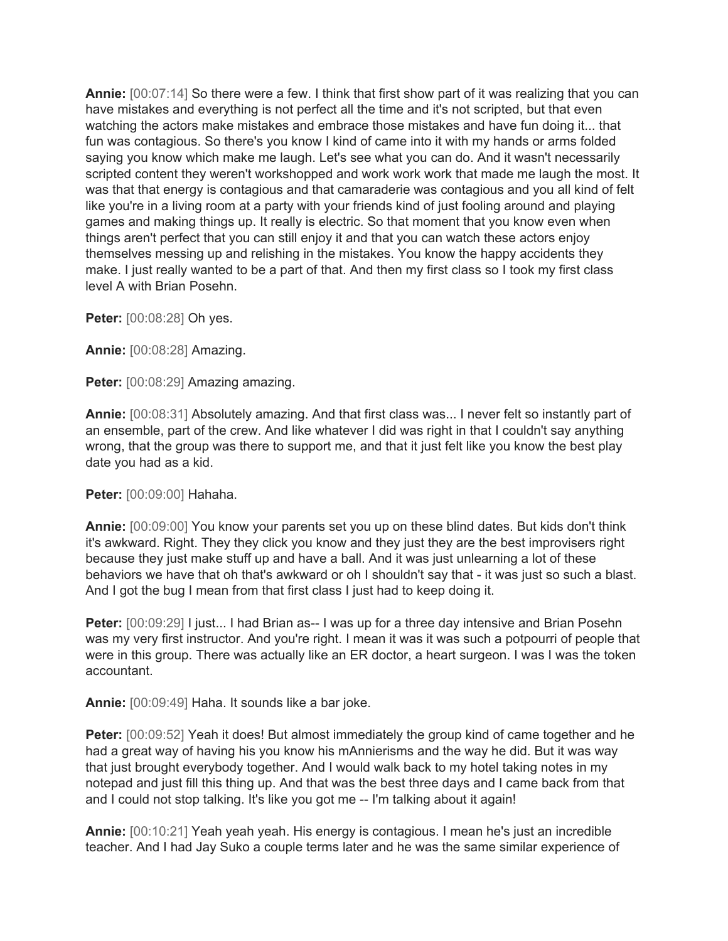**Annie:** [00:07:14] So there were a few. I think that first show part of it was realizing that you can have mistakes and everything is not perfect all the time and it's not scripted, but that even watching the actors make mistakes and embrace those mistakes and have fun doing it... that fun was contagious. So there's you know I kind of came into it with my hands or arms folded saying you know which make me laugh. Let's see what you can do. And it wasn't necessarily scripted content they weren't workshopped and work work work that made me laugh the most. It was that that energy is contagious and that camaraderie was contagious and you all kind of felt like you're in a living room at a party with your friends kind of just fooling around and playing games and making things up. It really is electric. So that moment that you know even when things aren't perfect that you can still enjoy it and that you can watch these actors enjoy themselves messing up and relishing in the mistakes. You know the happy accidents they make. I just really wanted to be a part of that. And then my first class so I took my first class level A with Brian Posehn.

**Peter:** [00:08:28] Oh yes.

**Annie:** [00:08:28] Amazing.

**Peter:** [00:08:29] Amazing amazing.

**Annie:** [00:08:31] Absolutely amazing. And that first class was... I never felt so instantly part of an ensemble, part of the crew. And like whatever I did was right in that I couldn't say anything wrong, that the group was there to support me, and that it just felt like you know the best play date you had as a kid.

**Peter:** [00:09:00] Hahaha.

**Annie:** [00:09:00] You know your parents set you up on these blind dates. But kids don't think it's awkward. Right. They they click you know and they just they are the best improvisers right because they just make stuff up and have a ball. And it was just unlearning a lot of these behaviors we have that oh that's awkward or oh I shouldn't say that - it was just so such a blast. And I got the bug I mean from that first class I just had to keep doing it.

**Peter:**  $[00:09:29]$  I just... I had Brian as-- I was up for a three day intensive and Brian Posehn was my very first instructor. And you're right. I mean it was it was such a potpourri of people that were in this group. There was actually like an ER doctor, a heart surgeon. I was I was the token accountant.

**Annie:** [00:09:49] Haha. It sounds like a bar joke.

**Peter:** [00:09:52] Yeah it does! But almost immediately the group kind of came together and he had a great way of having his you know his mAnnierisms and the way he did. But it was way that just brought everybody together. And I would walk back to my hotel taking notes in my notepad and just fill this thing up. And that was the best three days and I came back from that and I could not stop talking. It's like you got me -- I'm talking about it again!

**Annie:** [00:10:21] Yeah yeah yeah. His energy is contagious. I mean he's just an incredible teacher. And I had Jay Suko a couple terms later and he was the same similar experience of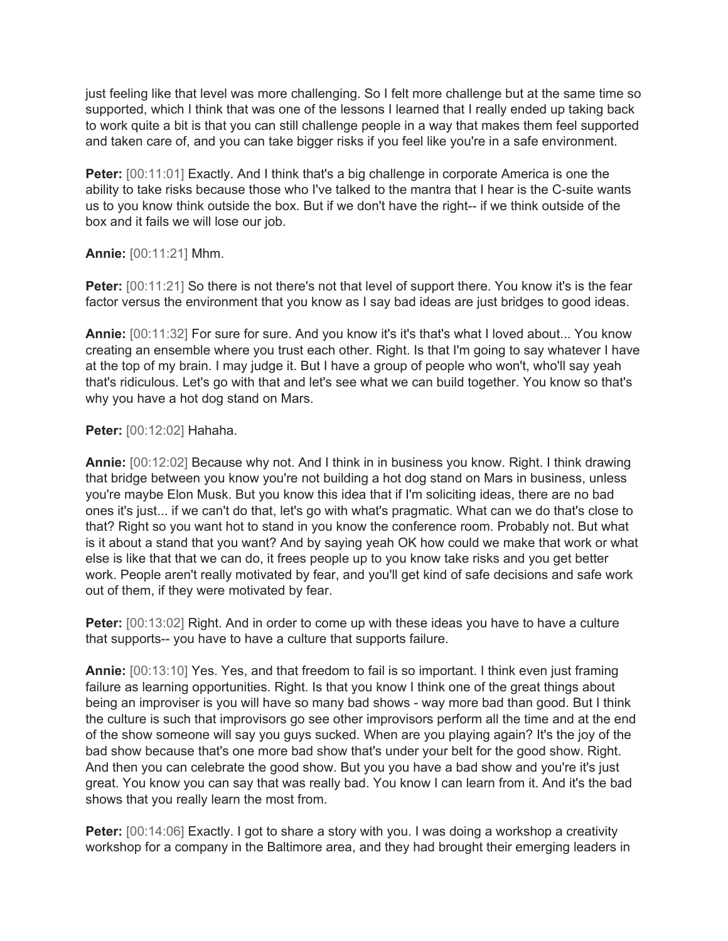just feeling like that level was more challenging. So I felt more challenge but at the same time so supported, which I think that was one of the lessons I learned that I really ended up taking back to work quite a bit is that you can still challenge people in a way that makes them feel supported and taken care of, and you can take bigger risks if you feel like you're in a safe environment.

**Peter:** [00:11:01] Exactly. And I think that's a big challenge in corporate America is one the ability to take risks because those who I've talked to the mantra that I hear is the C-suite wants us to you know think outside the box. But if we don't have the right-- if we think outside of the box and it fails we will lose our job.

**Annie:** [00:11:21] Mhm.

**Peter:** [00:11:21] So there is not there's not that level of support there. You know it's is the fear factor versus the environment that you know as I say bad ideas are just bridges to good ideas.

**Annie:** [00:11:32] For sure for sure. And you know it's it's that's what I loved about... You know creating an ensemble where you trust each other. Right. Is that I'm going to say whatever I have at the top of my brain. I may judge it. But I have a group of people who won't, who'll say yeah that's ridiculous. Let's go with that and let's see what we can build together. You know so that's why you have a hot dog stand on Mars.

**Peter:** [00:12:02] Hahaha.

**Annie:** [00:12:02] Because why not. And I think in in business you know. Right. I think drawing that bridge between you know you're not building a hot dog stand on Mars in business, unless you're maybe Elon Musk. But you know this idea that if I'm soliciting ideas, there are no bad ones it's just... if we can't do that, let's go with what's pragmatic. What can we do that's close to that? Right so you want hot to stand in you know the conference room. Probably not. But what is it about a stand that you want? And by saying yeah OK how could we make that work or what else is like that that we can do, it frees people up to you know take risks and you get better work. People aren't really motivated by fear, and you'll get kind of safe decisions and safe work out of them, if they were motivated by fear.

**Peter:**  $[00:13:02]$  Right. And in order to come up with these ideas you have to have a culture that supports-- you have to have a culture that supports failure.

**Annie:** [00:13:10] Yes. Yes, and that freedom to fail is so important. I think even just framing failure as learning opportunities. Right. Is that you know I think one of the great things about being an improviser is you will have so many bad shows - way more bad than good. But I think the culture is such that improvisors go see other improvisors perform all the time and at the end of the show someone will say you guys sucked. When are you playing again? It's the joy of the bad show because that's one more bad show that's under your belt for the good show. Right. And then you can celebrate the good show. But you you have a bad show and you're it's just great. You know you can say that was really bad. You know I can learn from it. And it's the bad shows that you really learn the most from.

**Peter:** [00:14:06] Exactly. I got to share a story with you. I was doing a workshop a creativity workshop for a company in the Baltimore area, and they had brought their emerging leaders in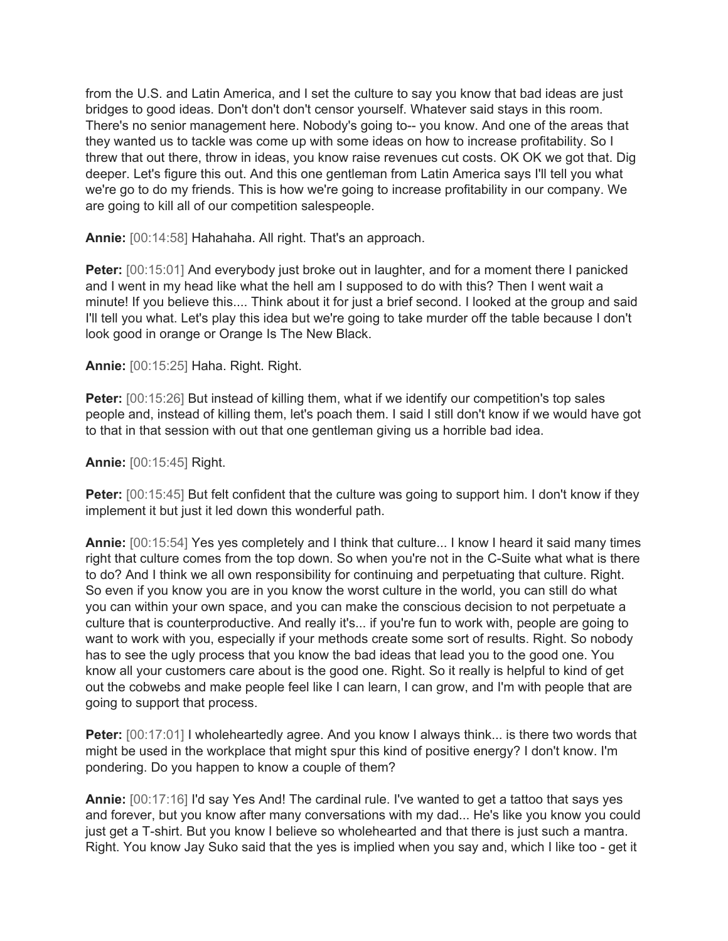from the U.S. and Latin America, and I set the culture to say you know that bad ideas are just bridges to good ideas. Don't don't don't censor yourself. Whatever said stays in this room. There's no senior management here. Nobody's going to-- you know. And one of the areas that they wanted us to tackle was come up with some ideas on how to increase profitability. So I threw that out there, throw in ideas, you know raise revenues cut costs. OK OK we got that. Dig deeper. Let's figure this out. And this one gentleman from Latin America says I'll tell you what we're go to do my friends. This is how we're going to increase profitability in our company. We are going to kill all of our competition salespeople.

**Annie:** [00:14:58] Hahahaha. All right. That's an approach.

**Peter:** [00:15:01] And everybody just broke out in laughter, and for a moment there I panicked and I went in my head like what the hell am I supposed to do with this? Then I went wait a minute! If you believe this.... Think about it for just a brief second. I looked at the group and said I'll tell you what. Let's play this idea but we're going to take murder off the table because I don't look good in orange or Orange Is The New Black.

**Annie:** [00:15:25] Haha. Right. Right.

**Peter:** [00:15:26] But instead of killing them, what if we identify our competition's top sales people and, instead of killing them, let's poach them. I said I still don't know if we would have got to that in that session with out that one gentleman giving us a horrible bad idea.

**Annie:** [00:15:45] Right.

**Peter:** [00:15:45] But felt confident that the culture was going to support him. I don't know if they implement it but just it led down this wonderful path.

**Annie:** [00:15:54] Yes yes completely and I think that culture... I know I heard it said many times right that culture comes from the top down. So when you're not in the C-Suite what what is there to do? And I think we all own responsibility for continuing and perpetuating that culture. Right. So even if you know you are in you know the worst culture in the world, you can still do what you can within your own space, and you can make the conscious decision to not perpetuate a culture that is counterproductive. And really it's... if you're fun to work with, people are going to want to work with you, especially if your methods create some sort of results. Right. So nobody has to see the ugly process that you know the bad ideas that lead you to the good one. You know all your customers care about is the good one. Right. So it really is helpful to kind of get out the cobwebs and make people feel like I can learn, I can grow, and I'm with people that are going to support that process.

**Peter:**  $[00:17:01]$  I wholeheartedly agree. And you know I always think... is there two words that might be used in the workplace that might spur this kind of positive energy? I don't know. I'm pondering. Do you happen to know a couple of them?

**Annie:** [00:17:16] I'd say Yes And! The cardinal rule. I've wanted to get a tattoo that says yes and forever, but you know after many conversations with my dad... He's like you know you could just get a T-shirt. But you know I believe so wholehearted and that there is just such a mantra. Right. You know Jay Suko said that the yes is implied when you say and, which I like too - get it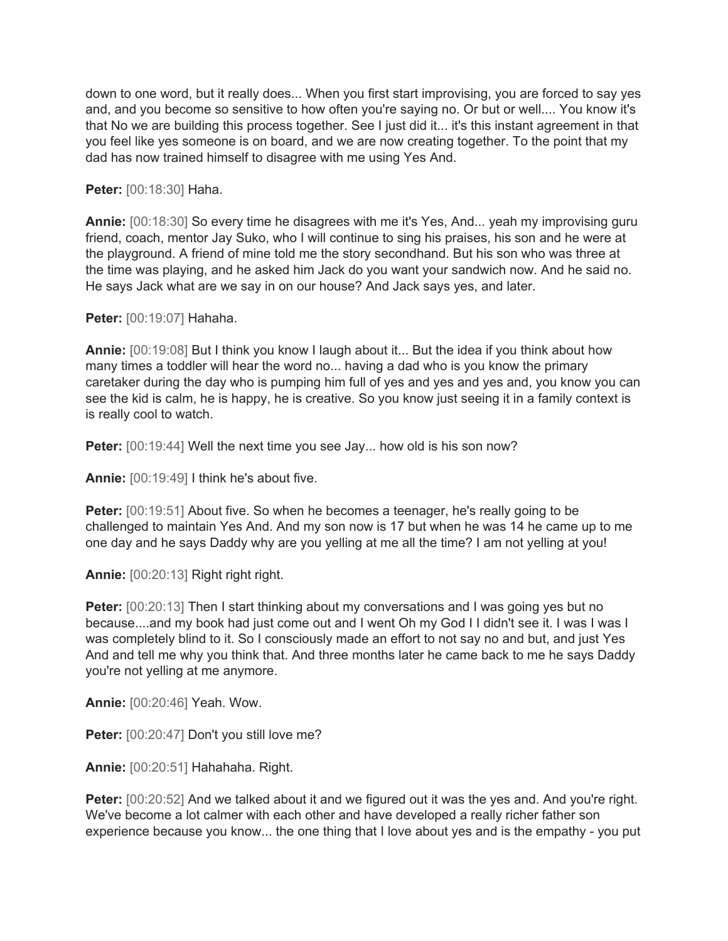down to one word, but it really does... When you first start improvising, you are forced to say yes and, and you become so sensitive to how often you're saying no. Or but or well.... You know it's that No we are building this process together. See I just did it... it's this instant agreement in that you feel like yes someone is on board, and we are now creating together. To the point that my dad has now trained himself to disagree with me using Yes And.

**Peter:** [00:18:30] Haha.

**Annie:** [00:18:30] So every time he disagrees with me it's Yes, And... yeah my improvising guru friend, coach, mentor Jay Suko, who I will continue to sing his praises, his son and he were at the playground. A friend of mine told me the story secondhand. But his son who was three at the time was playing, and he asked him Jack do you want your sandwich now. And he said no. He says Jack what are we say in on our house? And Jack says yes, and later.

**Peter:** [00:19:07] Hahaha.

**Annie:** [00:19:08] But I think you know I laugh about it... But the idea if you think about how many times a toddler will hear the word no... having a dad who is you know the primary caretaker during the day who is pumping him full of yes and yes and yes and, you know you can see the kid is calm, he is happy, he is creative. So you know just seeing it in a family context is is really cool to watch.

**Peter:** [00:19:44] Well the next time you see Jay... how old is his son now?

**Annie:** [00:19:49] I think he's about five.

**Peter:** [00:19:51] About five. So when he becomes a teenager, he's really going to be challenged to maintain Yes And. And my son now is 17 but when he was 14 he came up to me one day and he says Daddy why are you yelling at me all the time? I am not yelling at you!

**Annie:** [00:20:13] Right right right.

**Peter:** [00:20:13] Then I start thinking about my conversations and I was going yes but no because....and my book had just come out and I went Oh my God I I didn't see it. I was I was I was completely blind to it. So I consciously made an effort to not say no and but, and just Yes And and tell me why you think that. And three months later he came back to me he says Daddy you're not yelling at me anymore.

**Annie:** [00:20:46] Yeah. Wow.

Peter: [00:20:47] Don't you still love me?

**Annie:** [00:20:51] Hahahaha. Right.

**Peter:** [00:20:52] And we talked about it and we figured out it was the yes and. And you're right. We've become a lot calmer with each other and have developed a really richer father son experience because you know... the one thing that I love about yes and is the empathy - you put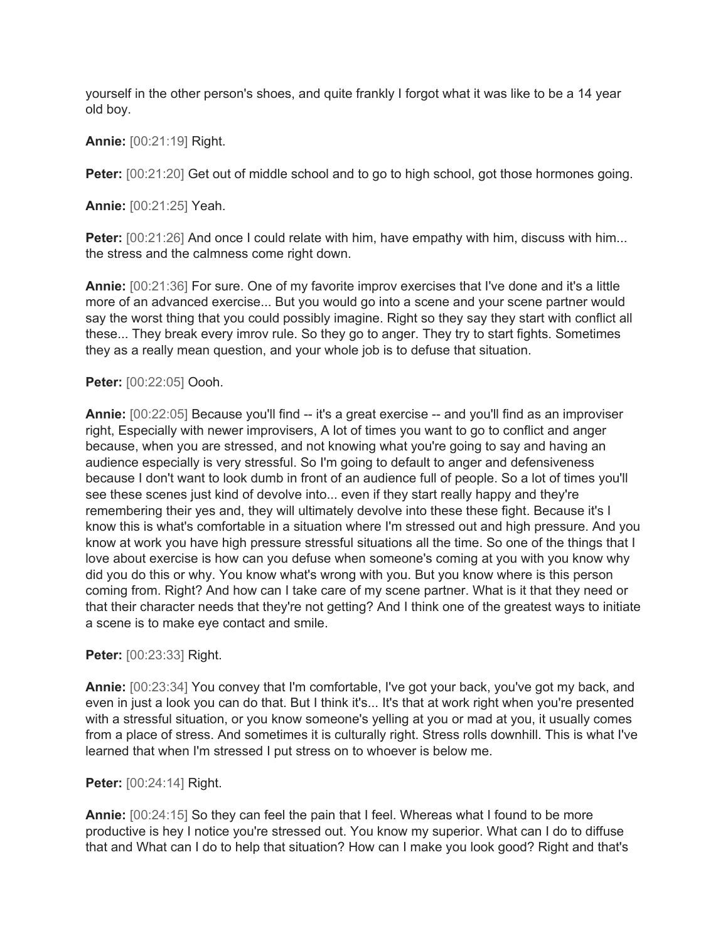yourself in the other person's shoes, and quite frankly I forgot what it was like to be a 14 year old boy.

**Annie:** [00:21:19] Right.

**Peter:** [00:21:20] Get out of middle school and to go to high school, got those hormones going.

**Annie:** [00:21:25] Yeah.

**Peter:** [00:21:26] And once I could relate with him, have empathy with him, discuss with him... the stress and the calmness come right down.

**Annie:** [00:21:36] For sure. One of my favorite improv exercises that I've done and it's a little more of an advanced exercise... But you would go into a scene and your scene partner would say the worst thing that you could possibly imagine. Right so they say they start with conflict all these... They break every imrov rule. So they go to anger. They try to start fights. Sometimes they as a really mean question, and your whole job is to defuse that situation.

# **Peter:** [00:22:05] Oooh.

**Annie:** [00:22:05] Because you'll find -- it's a great exercise -- and you'll find as an improviser right, Especially with newer improvisers, A lot of times you want to go to conflict and anger because, when you are stressed, and not knowing what you're going to say and having an audience especially is very stressful. So I'm going to default to anger and defensiveness because I don't want to look dumb in front of an audience full of people. So a lot of times you'll see these scenes just kind of devolve into... even if they start really happy and they're remembering their yes and, they will ultimately devolve into these these fight. Because it's I know this is what's comfortable in a situation where I'm stressed out and high pressure. And you know at work you have high pressure stressful situations all the time. So one of the things that I love about exercise is how can you defuse when someone's coming at you with you know why did you do this or why. You know what's wrong with you. But you know where is this person coming from. Right? And how can I take care of my scene partner. What is it that they need or that their character needs that they're not getting? And I think one of the greatest ways to initiate a scene is to make eye contact and smile.

# **Peter:** [00:23:33] Right.

**Annie:** [00:23:34] You convey that I'm comfortable, I've got your back, you've got my back, and even in just a look you can do that. But I think it's... It's that at work right when you're presented with a stressful situation, or you know someone's yelling at you or mad at you, it usually comes from a place of stress. And sometimes it is culturally right. Stress rolls downhill. This is what I've learned that when I'm stressed I put stress on to whoever is below me.

# **Peter:** [00:24:14] Right.

**Annie:** [00:24:15] So they can feel the pain that I feel. Whereas what I found to be more productive is hey I notice you're stressed out. You know my superior. What can I do to diffuse that and What can I do to help that situation? How can I make you look good? Right and that's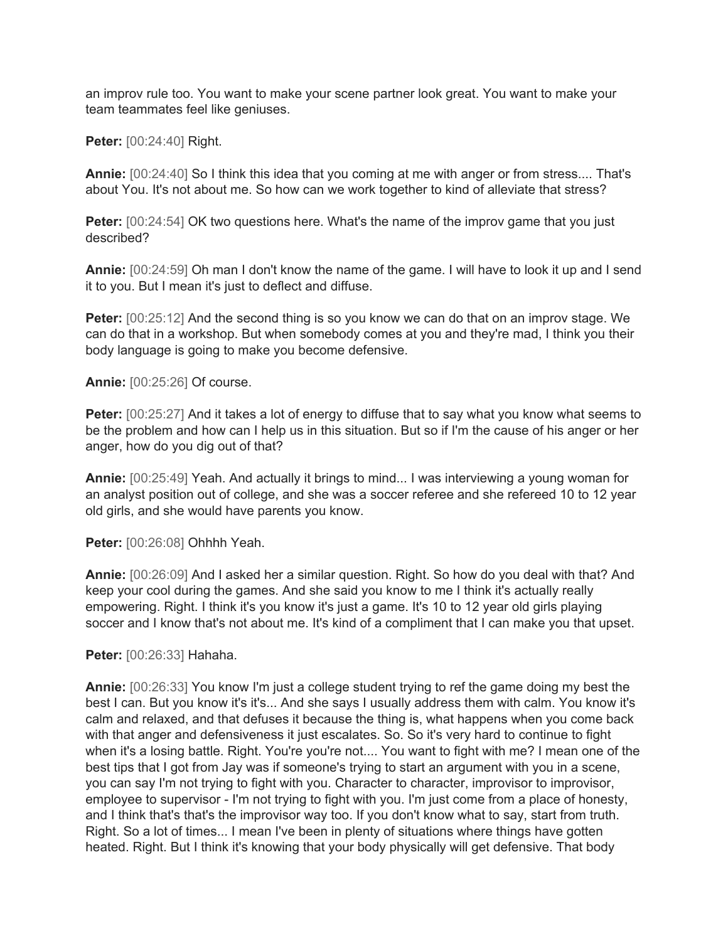an improv rule too. You want to make your scene partner look great. You want to make your team teammates feel like geniuses.

**Peter:** [00:24:40] Right.

**Annie:** [00:24:40] So I think this idea that you coming at me with anger or from stress.... That's about You. It's not about me. So how can we work together to kind of alleviate that stress?

**Peter:** [00:24:54] OK two questions here. What's the name of the improv game that you just described?

**Annie:** [00:24:59] Oh man I don't know the name of the game. I will have to look it up and I send it to you. But I mean it's just to deflect and diffuse.

**Peter:** [00:25:12] And the second thing is so you know we can do that on an improv stage. We can do that in a workshop. But when somebody comes at you and they're mad, I think you their body language is going to make you become defensive.

**Annie:** [00:25:26] Of course.

**Peter:** [00:25:27] And it takes a lot of energy to diffuse that to say what you know what seems to be the problem and how can I help us in this situation. But so if I'm the cause of his anger or her anger, how do you dig out of that?

**Annie:** [00:25:49] Yeah. And actually it brings to mind... I was interviewing a young woman for an analyst position out of college, and she was a soccer referee and she refereed 10 to 12 year old girls, and she would have parents you know.

**Peter:** [00:26:08] Ohhhh Yeah.

**Annie:** [00:26:09] And I asked her a similar question. Right. So how do you deal with that? And keep your cool during the games. And she said you know to me I think it's actually really empowering. Right. I think it's you know it's just a game. It's 10 to 12 year old girls playing soccer and I know that's not about me. It's kind of a compliment that I can make you that upset.

**Peter:** [00:26:33] Hahaha.

**Annie:** [00:26:33] You know I'm just a college student trying to ref the game doing my best the best I can. But you know it's it's... And she says I usually address them with calm. You know it's calm and relaxed, and that defuses it because the thing is, what happens when you come back with that anger and defensiveness it just escalates. So. So it's very hard to continue to fight when it's a losing battle. Right. You're you're not.... You want to fight with me? I mean one of the best tips that I got from Jay was if someone's trying to start an argument with you in a scene, you can say I'm not trying to fight with you. Character to character, improvisor to improvisor, employee to supervisor - I'm not trying to fight with you. I'm just come from a place of honesty, and I think that's that's the improvisor way too. If you don't know what to say, start from truth. Right. So a lot of times... I mean I've been in plenty of situations where things have gotten heated. Right. But I think it's knowing that your body physically will get defensive. That body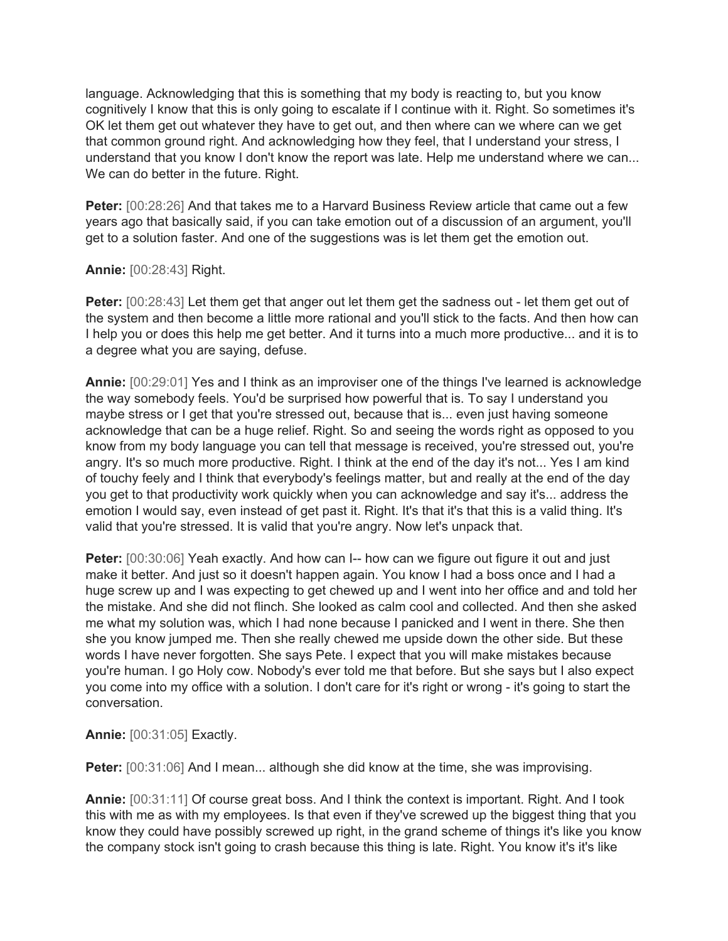language. Acknowledging that this is something that my body is reacting to, but you know cognitively I know that this is only going to escalate if I continue with it. Right. So sometimes it's OK let them get out whatever they have to get out, and then where can we where can we get that common ground right. And acknowledging how they feel, that I understand your stress, I understand that you know I don't know the report was late. Help me understand where we can... We can do better in the future. Right.

**Peter:** [00:28:26] And that takes me to a Harvard Business Review article that came out a few years ago that basically said, if you can take emotion out of a discussion of an argument, you'll get to a solution faster. And one of the suggestions was is let them get the emotion out.

## **Annie:** [00:28:43] Right.

**Peter:** [00:28:43] Let them get that anger out let them get the sadness out - let them get out of the system and then become a little more rational and you'll stick to the facts. And then how can I help you or does this help me get better. And it turns into a much more productive... and it is to a degree what you are saying, defuse.

**Annie:** [00:29:01] Yes and I think as an improviser one of the things I've learned is acknowledge the way somebody feels. You'd be surprised how powerful that is. To say I understand you maybe stress or I get that you're stressed out, because that is... even just having someone acknowledge that can be a huge relief. Right. So and seeing the words right as opposed to you know from my body language you can tell that message is received, you're stressed out, you're angry. It's so much more productive. Right. I think at the end of the day it's not... Yes I am kind of touchy feely and I think that everybody's feelings matter, but and really at the end of the day you get to that productivity work quickly when you can acknowledge and say it's... address the emotion I would say, even instead of get past it. Right. It's that it's that this is a valid thing. It's valid that you're stressed. It is valid that you're angry. Now let's unpack that.

**Peter:** [00:30:06] Yeah exactly. And how can I-- how can we figure out figure it out and just make it better. And just so it doesn't happen again. You know I had a boss once and I had a huge screw up and I was expecting to get chewed up and I went into her office and and told her the mistake. And she did not flinch. She looked as calm cool and collected. And then she asked me what my solution was, which I had none because I panicked and I went in there. She then she you know jumped me. Then she really chewed me upside down the other side. But these words I have never forgotten. She says Pete. I expect that you will make mistakes because you're human. I go Holy cow. Nobody's ever told me that before. But she says but I also expect you come into my office with a solution. I don't care for it's right or wrong - it's going to start the conversation.

**Annie:** [00:31:05] Exactly.

**Peter:** [00:31:06] And I mean... although she did know at the time, she was improvising.

**Annie:** [00:31:11] Of course great boss. And I think the context is important. Right. And I took this with me as with my employees. Is that even if they've screwed up the biggest thing that you know they could have possibly screwed up right, in the grand scheme of things it's like you know the company stock isn't going to crash because this thing is late. Right. You know it's it's like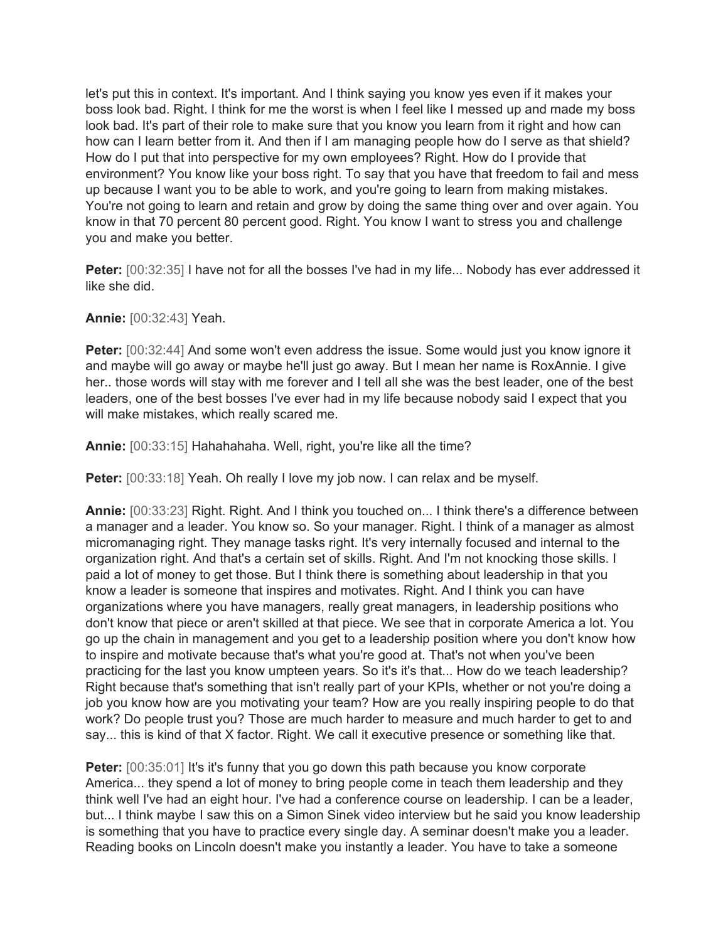let's put this in context. It's important. And I think saying you know yes even if it makes your boss look bad. Right. I think for me the worst is when I feel like I messed up and made my boss look bad. It's part of their role to make sure that you know you learn from it right and how can how can I learn better from it. And then if I am managing people how do I serve as that shield? How do I put that into perspective for my own employees? Right. How do I provide that environment? You know like your boss right. To say that you have that freedom to fail and mess up because I want you to be able to work, and you're going to learn from making mistakes. You're not going to learn and retain and grow by doing the same thing over and over again. You know in that 70 percent 80 percent good. Right. You know I want to stress you and challenge you and make you better.

**Peter:** [00:32:35] I have not for all the bosses I've had in my life... Nobody has ever addressed it like she did.

**Annie:** [00:32:43] Yeah.

**Peter:** [00:32:44] And some won't even address the issue. Some would just you know ignore it and maybe will go away or maybe he'll just go away. But I mean her name is RoxAnnie. I give her.. those words will stay with me forever and I tell all she was the best leader, one of the best leaders, one of the best bosses I've ever had in my life because nobody said I expect that you will make mistakes, which really scared me.

**Annie:** [00:33:15] Hahahahaha. Well, right, you're like all the time?

**Peter:** [00:33:18] Yeah. Oh really I love my job now. I can relax and be myself.

**Annie:** [00:33:23] Right. Right. And I think you touched on... I think there's a difference between a manager and a leader. You know so. So your manager. Right. I think of a manager as almost micromanaging right. They manage tasks right. It's very internally focused and internal to the organization right. And that's a certain set of skills. Right. And I'm not knocking those skills. I paid a lot of money to get those. But I think there is something about leadership in that you know a leader is someone that inspires and motivates. Right. And I think you can have organizations where you have managers, really great managers, in leadership positions who don't know that piece or aren't skilled at that piece. We see that in corporate America a lot. You go up the chain in management and you get to a leadership position where you don't know how to inspire and motivate because that's what you're good at. That's not when you've been practicing for the last you know umpteen years. So it's it's that... How do we teach leadership? Right because that's something that isn't really part of your KPIs, whether or not you're doing a job you know how are you motivating your team? How are you really inspiring people to do that work? Do people trust you? Those are much harder to measure and much harder to get to and say... this is kind of that X factor. Right. We call it executive presence or something like that.

**Peter:** [00:35:01] It's it's funny that you go down this path because you know corporate America... they spend a lot of money to bring people come in teach them leadership and they think well I've had an eight hour. I've had a conference course on leadership. I can be a leader, but... I think maybe I saw this on a Simon Sinek video interview but he said you know leadership is something that you have to practice every single day. A seminar doesn't make you a leader. Reading books on Lincoln doesn't make you instantly a leader. You have to take a someone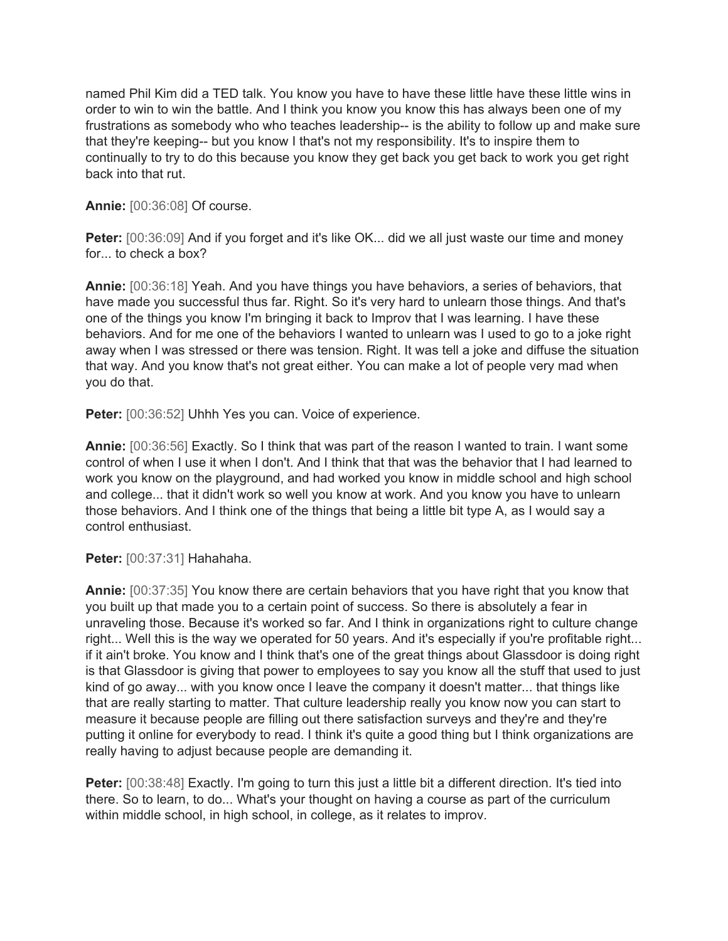named Phil Kim did a TED talk. You know you have to have these little have these little wins in order to win to win the battle. And I think you know you know this has always been one of my frustrations as somebody who who teaches leadership-- is the ability to follow up and make sure that they're keeping-- but you know I that's not my responsibility. It's to inspire them to continually to try to do this because you know they get back you get back to work you get right back into that rut.

**Annie:** [00:36:08] Of course.

**Peter:** [00:36:09] And if you forget and it's like OK... did we all just waste our time and money for... to check a box?

**Annie:** [00:36:18] Yeah. And you have things you have behaviors, a series of behaviors, that have made you successful thus far. Right. So it's very hard to unlearn those things. And that's one of the things you know I'm bringing it back to Improv that I was learning. I have these behaviors. And for me one of the behaviors I wanted to unlearn was I used to go to a joke right away when I was stressed or there was tension. Right. It was tell a joke and diffuse the situation that way. And you know that's not great either. You can make a lot of people very mad when you do that.

**Peter:** [00:36:52] Uhhh Yes you can. Voice of experience.

**Annie:** [00:36:56] Exactly. So I think that was part of the reason I wanted to train. I want some control of when I use it when I don't. And I think that that was the behavior that I had learned to work you know on the playground, and had worked you know in middle school and high school and college... that it didn't work so well you know at work. And you know you have to unlearn those behaviors. And I think one of the things that being a little bit type A, as I would say a control enthusiast.

**Peter:** [00:37:31] Hahahaha.

**Annie:** [00:37:35] You know there are certain behaviors that you have right that you know that you built up that made you to a certain point of success. So there is absolutely a fear in unraveling those. Because it's worked so far. And I think in organizations right to culture change right... Well this is the way we operated for 50 years. And it's especially if you're profitable right... if it ain't broke. You know and I think that's one of the great things about Glassdoor is doing right is that Glassdoor is giving that power to employees to say you know all the stuff that used to just kind of go away... with you know once I leave the company it doesn't matter... that things like that are really starting to matter. That culture leadership really you know now you can start to measure it because people are filling out there satisfaction surveys and they're and they're putting it online for everybody to read. I think it's quite a good thing but I think organizations are really having to adjust because people are demanding it.

**Peter:** [00:38:48] Exactly. I'm going to turn this just a little bit a different direction. It's tied into there. So to learn, to do... What's your thought on having a course as part of the curriculum within middle school, in high school, in college, as it relates to improv.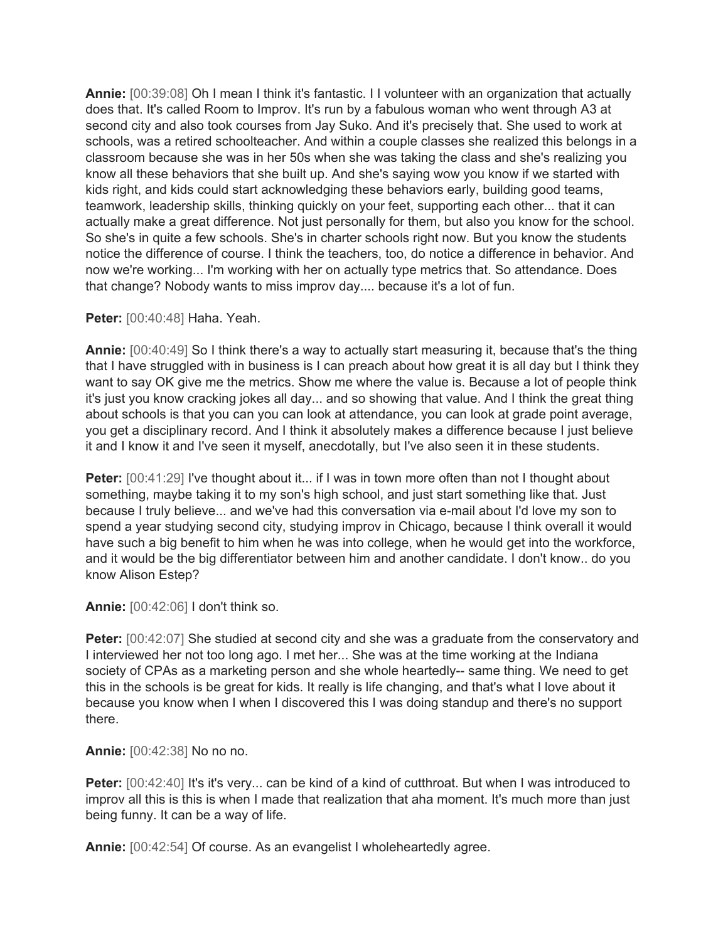**Annie:** [00:39:08] Oh I mean I think it's fantastic. I I volunteer with an organization that actually does that. It's called Room to Improv. It's run by a fabulous woman who went through A3 at second city and also took courses from Jay Suko. And it's precisely that. She used to work at schools, was a retired schoolteacher. And within a couple classes she realized this belongs in a classroom because she was in her 50s when she was taking the class and she's realizing you know all these behaviors that she built up. And she's saying wow you know if we started with kids right, and kids could start acknowledging these behaviors early, building good teams, teamwork, leadership skills, thinking quickly on your feet, supporting each other... that it can actually make a great difference. Not just personally for them, but also you know for the school. So she's in quite a few schools. She's in charter schools right now. But you know the students notice the difference of course. I think the teachers, too, do notice a difference in behavior. And now we're working... I'm working with her on actually type metrics that. So attendance. Does that change? Nobody wants to miss improv day.... because it's a lot of fun.

#### **Peter:** [00:40:48] Haha. Yeah.

**Annie:** [00:40:49] So I think there's a way to actually start measuring it, because that's the thing that I have struggled with in business is I can preach about how great it is all day but I think they want to say OK give me the metrics. Show me where the value is. Because a lot of people think it's just you know cracking jokes all day... and so showing that value. And I think the great thing about schools is that you can you can look at attendance, you can look at grade point average, you get a disciplinary record. And I think it absolutely makes a difference because I just believe it and I know it and I've seen it myself, anecdotally, but I've also seen it in these students.

**Peter:** [00:41:29] I've thought about it... if I was in town more often than not I thought about something, maybe taking it to my son's high school, and just start something like that. Just because I truly believe... and we've had this conversation via e-mail about I'd love my son to spend a year studying second city, studying improv in Chicago, because I think overall it would have such a big benefit to him when he was into college, when he would get into the workforce, and it would be the big differentiator between him and another candidate. I don't know.. do you know Alison Estep?

### **Annie:** [00:42:06] I don't think so.

**Peter:** [00:42:07] She studied at second city and she was a graduate from the conservatory and I interviewed her not too long ago. I met her... She was at the time working at the Indiana society of CPAs as a marketing person and she whole heartedly-- same thing. We need to get this in the schools is be great for kids. It really is life changing, and that's what I love about it because you know when I when I discovered this I was doing standup and there's no support there.

**Annie:** [00:42:38] No no no.

**Peter:** [00:42:40] It's it's very... can be kind of a kind of cutthroat. But when I was introduced to improv all this is this is when I made that realization that aha moment. It's much more than just being funny. It can be a way of life.

**Annie:** [00:42:54] Of course. As an evangelist I wholeheartedly agree.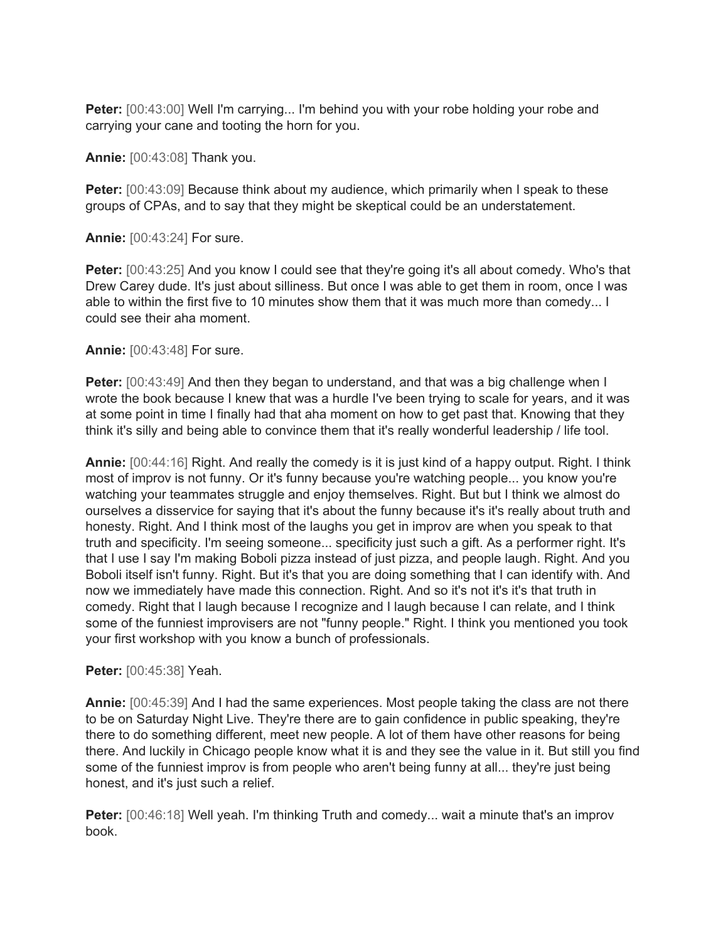**Peter:** [00:43:00] Well I'm carrying... I'm behind you with your robe holding your robe and carrying your cane and tooting the horn for you.

**Annie:** [00:43:08] Thank you.

**Peter:** [00:43:09] Because think about my audience, which primarily when I speak to these groups of CPAs, and to say that they might be skeptical could be an understatement.

**Annie:** [00:43:24] For sure.

**Peter:** [00:43:25] And you know I could see that they're going it's all about comedy. Who's that Drew Carey dude. It's just about silliness. But once I was able to get them in room, once I was able to within the first five to 10 minutes show them that it was much more than comedy... I could see their aha moment.

**Annie:** [00:43:48] For sure.

**Peter:** [00:43:49] And then they began to understand, and that was a big challenge when I wrote the book because I knew that was a hurdle I've been trying to scale for years, and it was at some point in time I finally had that aha moment on how to get past that. Knowing that they think it's silly and being able to convince them that it's really wonderful leadership / life tool.

**Annie:** [00:44:16] Right. And really the comedy is it is just kind of a happy output. Right. I think most of improv is not funny. Or it's funny because you're watching people... you know you're watching your teammates struggle and enjoy themselves. Right. But but I think we almost do ourselves a disservice for saying that it's about the funny because it's it's really about truth and honesty. Right. And I think most of the laughs you get in improv are when you speak to that truth and specificity. I'm seeing someone... specificity just such a gift. As a performer right. It's that I use I say I'm making Boboli pizza instead of just pizza, and people laugh. Right. And you Boboli itself isn't funny. Right. But it's that you are doing something that I can identify with. And now we immediately have made this connection. Right. And so it's not it's it's that truth in comedy. Right that I laugh because I recognize and I laugh because I can relate, and I think some of the funniest improvisers are not "funny people." Right. I think you mentioned you took your first workshop with you know a bunch of professionals.

**Peter:** [00:45:38] Yeah.

**Annie:** [00:45:39] And I had the same experiences. Most people taking the class are not there to be on Saturday Night Live. They're there are to gain confidence in public speaking, they're there to do something different, meet new people. A lot of them have other reasons for being there. And luckily in Chicago people know what it is and they see the value in it. But still you find some of the funniest improv is from people who aren't being funny at all... they're just being honest, and it's just such a relief.

**Peter:** [00:46:18] Well yeah. I'm thinking Truth and comedy... wait a minute that's an improv book.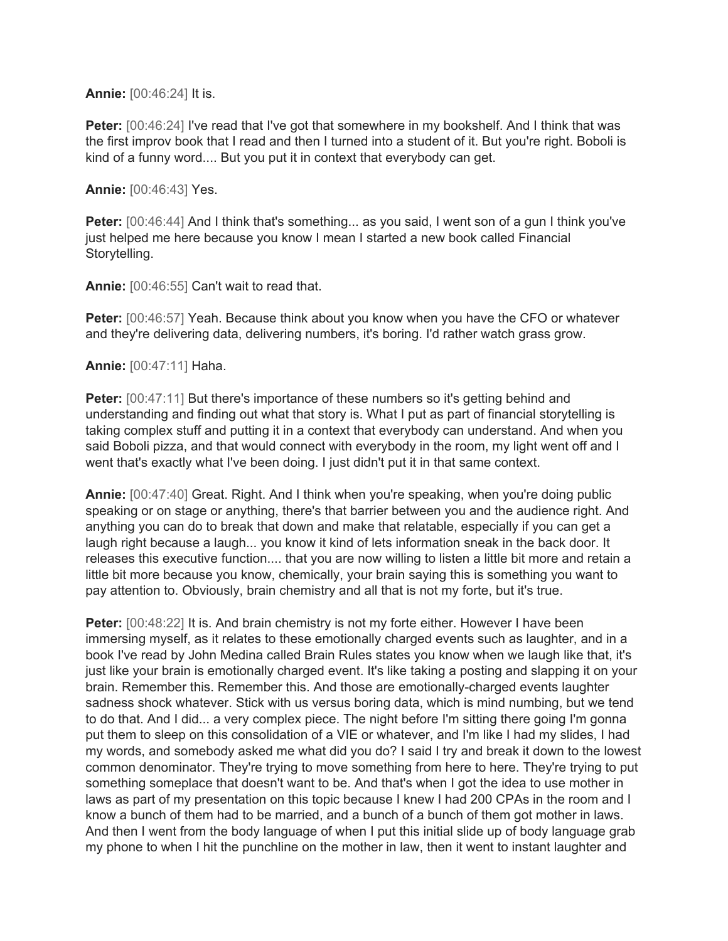**Annie:** [00:46:24] It is.

**Peter:** [00:46:24] I've read that I've got that somewhere in my bookshelf. And I think that was the first improv book that I read and then I turned into a student of it. But you're right. Boboli is kind of a funny word.... But you put it in context that everybody can get.

**Annie:** [00:46:43] Yes.

**Peter:** [00:46:44] And I think that's something... as you said, I went son of a gun I think you've just helped me here because you know I mean I started a new book called Financial Storytelling.

**Annie:** [00:46:55] Can't wait to read that.

**Peter:** [00:46:57] Yeah. Because think about you know when you have the CFO or whatever and they're delivering data, delivering numbers, it's boring. I'd rather watch grass grow.

**Annie:** [00:47:11] Haha.

**Peter:** [00:47:11] But there's importance of these numbers so it's getting behind and understanding and finding out what that story is. What I put as part of financial storytelling is taking complex stuff and putting it in a context that everybody can understand. And when you said Boboli pizza, and that would connect with everybody in the room, my light went off and I went that's exactly what I've been doing. I just didn't put it in that same context.

**Annie:** [00:47:40] Great. Right. And I think when you're speaking, when you're doing public speaking or on stage or anything, there's that barrier between you and the audience right. And anything you can do to break that down and make that relatable, especially if you can get a laugh right because a laugh... you know it kind of lets information sneak in the back door. It releases this executive function.... that you are now willing to listen a little bit more and retain a little bit more because you know, chemically, your brain saying this is something you want to pay attention to. Obviously, brain chemistry and all that is not my forte, but it's true.

**Peter:** [00:48:22] It is. And brain chemistry is not my forte either. However I have been immersing myself, as it relates to these emotionally charged events such as laughter, and in a book I've read by John Medina called Brain Rules states you know when we laugh like that, it's just like your brain is emotionally charged event. It's like taking a posting and slapping it on your brain. Remember this. Remember this. And those are emotionally-charged events laughter sadness shock whatever. Stick with us versus boring data, which is mind numbing, but we tend to do that. And I did... a very complex piece. The night before I'm sitting there going I'm gonna put them to sleep on this consolidation of a VIE or whatever, and I'm like I had my slides, I had my words, and somebody asked me what did you do? I said I try and break it down to the lowest common denominator. They're trying to move something from here to here. They're trying to put something someplace that doesn't want to be. And that's when I got the idea to use mother in laws as part of my presentation on this topic because I knew I had 200 CPAs in the room and I know a bunch of them had to be married, and a bunch of a bunch of them got mother in laws. And then I went from the body language of when I put this initial slide up of body language grab my phone to when I hit the punchline on the mother in law, then it went to instant laughter and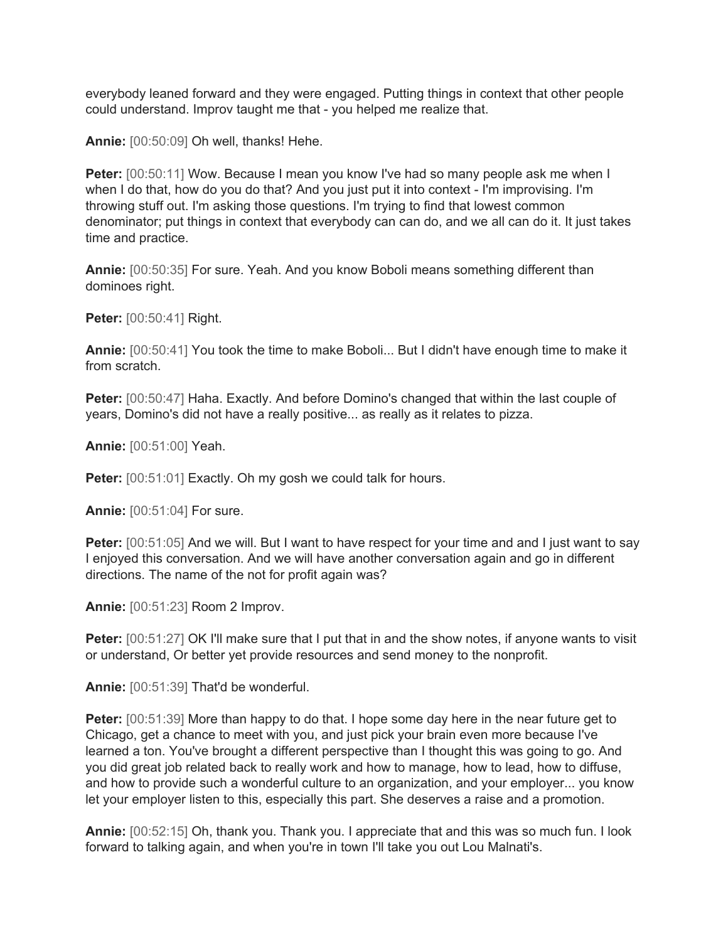everybody leaned forward and they were engaged. Putting things in context that other people could understand. Improv taught me that - you helped me realize that.

**Annie:** [00:50:09] Oh well, thanks! Hehe.

**Peter:** [00:50:11] Wow. Because I mean you know I've had so many people ask me when I when I do that, how do you do that? And you just put it into context - I'm improvising. I'm throwing stuff out. I'm asking those questions. I'm trying to find that lowest common denominator; put things in context that everybody can can do, and we all can do it. It just takes time and practice.

**Annie:** [00:50:35] For sure. Yeah. And you know Boboli means something different than dominoes right.

**Peter:** [00:50:41] Right.

**Annie:** [00:50:41] You took the time to make Boboli... But I didn't have enough time to make it from scratch.

**Peter:** [00:50:47] Haha. Exactly. And before Domino's changed that within the last couple of years, Domino's did not have a really positive... as really as it relates to pizza.

**Annie:** [00:51:00] Yeah.

**Peter:** [00:51:01] Exactly. Oh my gosh we could talk for hours.

**Annie:** [00:51:04] For sure.

**Peter:** [00:51:05] And we will. But I want to have respect for your time and and I just want to say I enjoyed this conversation. And we will have another conversation again and go in different directions. The name of the not for profit again was?

**Annie:** [00:51:23] Room 2 Improv.

**Peter:** [00:51:27] OK I'll make sure that I put that in and the show notes, if anyone wants to visit or understand, Or better yet provide resources and send money to the nonprofit.

**Annie:** [00:51:39] That'd be wonderful.

**Peter:** [00:51:39] More than happy to do that. I hope some day here in the near future get to Chicago, get a chance to meet with you, and just pick your brain even more because I've learned a ton. You've brought a different perspective than I thought this was going to go. And you did great job related back to really work and how to manage, how to lead, how to diffuse, and how to provide such a wonderful culture to an organization, and your employer... you know let your employer listen to this, especially this part. She deserves a raise and a promotion.

**Annie:** [00:52:15] Oh, thank you. Thank you. I appreciate that and this was so much fun. I look forward to talking again, and when you're in town I'll take you out Lou Malnati's.